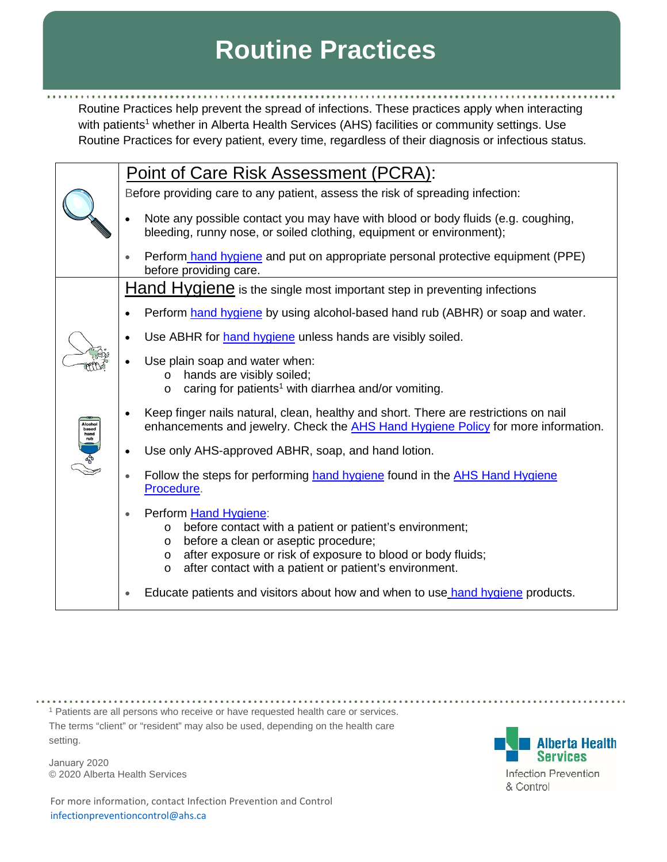## **Routine Practices**

Routine Practices help prevent the spread of infections. These practices apply when interacting with patients<sup>1</sup> whether in Alberta Health Services (AHS) facilities or community settings. Use Routine Practices for every patient, every time, regardless of their diagnosis or infectious status.

|                              | Point of Care Risk Assessment (PCRA):                                                                                                                                                                                                                                                          |
|------------------------------|------------------------------------------------------------------------------------------------------------------------------------------------------------------------------------------------------------------------------------------------------------------------------------------------|
|                              | Before providing care to any patient, assess the risk of spreading infection:                                                                                                                                                                                                                  |
|                              | Note any possible contact you may have with blood or body fluids (e.g. coughing,<br>$\bullet$<br>bleeding, runny nose, or soiled clothing, equipment or environment);                                                                                                                          |
|                              | Perform hand hygiene and put on appropriate personal protective equipment (PPE)<br>before providing care.                                                                                                                                                                                      |
|                              | Hand Hygiene is the single most important step in preventing infections                                                                                                                                                                                                                        |
|                              | Perform hand hygiene by using alcohol-based hand rub (ABHR) or soap and water.                                                                                                                                                                                                                 |
|                              | Use ABHR for hand hygiene unless hands are visibly soiled.                                                                                                                                                                                                                                     |
|                              | Use plain soap and water when:<br>hands are visibly soiled;<br>$\circ$<br>caring for patients <sup>1</sup> with diarrhea and/or vomiting.<br>$\circ$                                                                                                                                           |
| Alcohol                      | Keep finger nails natural, clean, healthy and short. There are restrictions on nail<br>$\bullet$<br>enhancements and jewelry. Check the <b>AHS Hand Hygiene Policy</b> for more information.                                                                                                   |
| Alcohol<br>hand<br>cub<br>co | Use only AHS-approved ABHR, soap, and hand lotion.<br>$\bullet$                                                                                                                                                                                                                                |
|                              | Follow the steps for performing hand hygiene found in the AHS Hand Hygiene<br>Procedure.                                                                                                                                                                                                       |
|                              | Perform Hand Hygiene:<br>$\bullet$<br>before contact with a patient or patient's environment;<br>$\circ$<br>before a clean or aseptic procedure;<br>O<br>after exposure or risk of exposure to blood or body fluids;<br>O<br>after contact with a patient or patient's environment.<br>$\circ$ |
|                              | Educate patients and visitors about how and when to use hand hygiene products.                                                                                                                                                                                                                 |

<sup>1</sup> Patients are all persons who receive or have requested health care or services.

The terms "client" or "resident" may also be used, depending on the health care setting.

January 2020 © 2020 Alberta Health Services

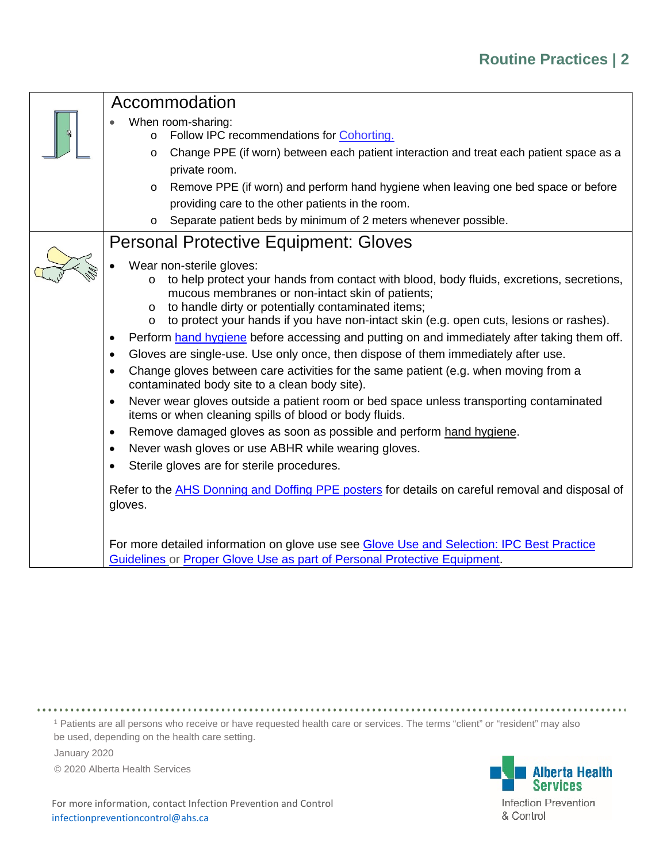| Accommodation                                                                                            |  |  |  |
|----------------------------------------------------------------------------------------------------------|--|--|--|
| When room-sharing:                                                                                       |  |  |  |
| Follow IPC recommendations for Cohorting.<br>$\circ$                                                     |  |  |  |
| Change PPE (if worn) between each patient interaction and treat each patient space as a<br>$\circ$       |  |  |  |
| private room.                                                                                            |  |  |  |
| Remove PPE (if worn) and perform hand hygiene when leaving one bed space or before<br>$\circ$            |  |  |  |
| providing care to the other patients in the room.                                                        |  |  |  |
| Separate patient beds by minimum of 2 meters whenever possible.<br>$\circ$                               |  |  |  |
| <b>Personal Protective Equipment: Gloves</b>                                                             |  |  |  |
| Wear non-sterile gloves:                                                                                 |  |  |  |
| to help protect your hands from contact with blood, body fluids, excretions, secretions,<br>$\circ$      |  |  |  |
| mucous membranes or non-intact skin of patients;                                                         |  |  |  |
| to handle dirty or potentially contaminated items;<br>$\circ$                                            |  |  |  |
| to protect your hands if you have non-intact skin (e.g. open cuts, lesions or rashes).<br>$\circ$        |  |  |  |
| Perform hand hygiene before accessing and putting on and immediately after taking them off.<br>$\bullet$ |  |  |  |
| Gloves are single-use. Use only once, then dispose of them immediately after use.<br>$\bullet$           |  |  |  |
| Change gloves between care activities for the same patient (e.g. when moving from a<br>$\bullet$         |  |  |  |
| contaminated body site to a clean body site).                                                            |  |  |  |
| Never wear gloves outside a patient room or bed space unless transporting contaminated<br>$\bullet$      |  |  |  |
| items or when cleaning spills of blood or body fluids.                                                   |  |  |  |
| Remove damaged gloves as soon as possible and perform hand hygiene.<br>$\bullet$                         |  |  |  |
| Never wash gloves or use ABHR while wearing gloves.<br>$\bullet$                                         |  |  |  |
| Sterile gloves are for sterile procedures.<br>$\bullet$                                                  |  |  |  |
| Refer to the AHS Donning and Doffing PPE posters for details on careful removal and disposal of          |  |  |  |
| gloves.                                                                                                  |  |  |  |
|                                                                                                          |  |  |  |
| For more detailed information on glove use see Glove Use and Selection: IPC Best Practice                |  |  |  |
| Guidelines or Proper Glove Use as part of Personal Protective Equipment.                                 |  |  |  |

<sup>1</sup> Patients are all persons who receive or have requested health care or services. The terms "client" or "resident" may also be used, depending on the health care setting.

January 2020

© 2020 Alberta Health Services

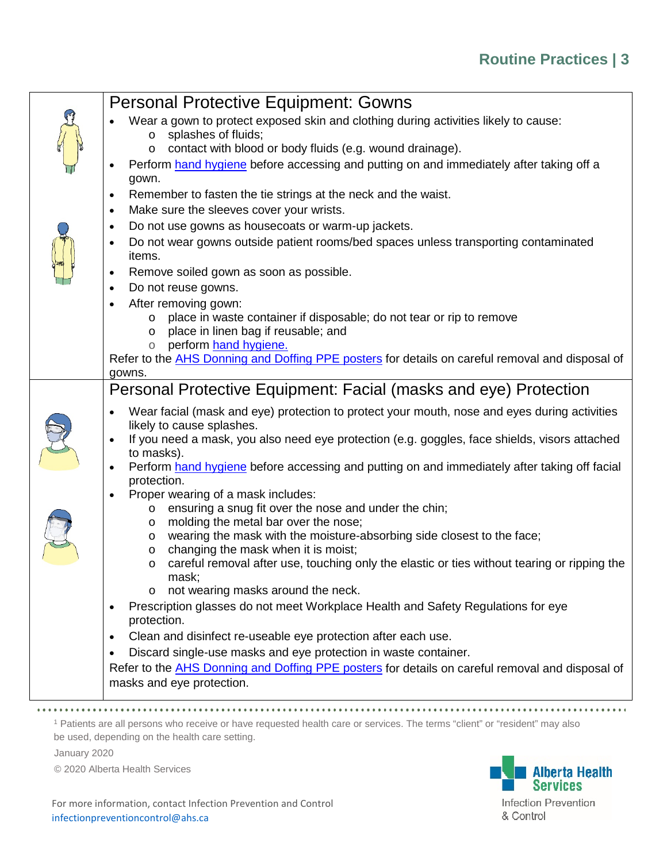## **Routine Practices | 3**

| <b>Personal Protective Equipment: Gowns</b>                                                                                  |  |  |  |
|------------------------------------------------------------------------------------------------------------------------------|--|--|--|
| Wear a gown to protect exposed skin and clothing during activities likely to cause:                                          |  |  |  |
| splashes of fluids;<br>$\circ$                                                                                               |  |  |  |
| contact with blood or body fluids (e.g. wound drainage).<br>O                                                                |  |  |  |
| Perform hand hygiene before accessing and putting on and immediately after taking off a<br>gown.                             |  |  |  |
| Remember to fasten the tie strings at the neck and the waist.<br>$\bullet$                                                   |  |  |  |
| Make sure the sleeves cover your wrists.<br>$\bullet$                                                                        |  |  |  |
| Do not use gowns as housecoats or warm-up jackets.<br>$\bullet$                                                              |  |  |  |
| Do not wear gowns outside patient rooms/bed spaces unless transporting contaminated                                          |  |  |  |
| items.                                                                                                                       |  |  |  |
| Remove soiled gown as soon as possible.                                                                                      |  |  |  |
| Do not reuse gowns.<br>$\bullet$                                                                                             |  |  |  |
| After removing gown:<br>$\bullet$                                                                                            |  |  |  |
| place in waste container if disposable; do not tear or rip to remove<br>O                                                    |  |  |  |
| place in linen bag if reusable; and<br>O<br>perform hand hygiene.<br>$\circ$                                                 |  |  |  |
| Refer to the AHS Donning and Doffing PPE posters for details on careful removal and disposal of                              |  |  |  |
| gowns.                                                                                                                       |  |  |  |
| Personal Protective Equipment: Facial (masks and eye) Protection                                                             |  |  |  |
| Wear facial (mask and eye) protection to protect your mouth, nose and eyes during activities                                 |  |  |  |
| likely to cause splashes.                                                                                                    |  |  |  |
| If you need a mask, you also need eye protection (e.g. goggles, face shields, visors attached                                |  |  |  |
| to masks).<br>Perform hand hygiene before accessing and putting on and immediately after taking off facial<br>$\bullet$      |  |  |  |
| protection.                                                                                                                  |  |  |  |
| Proper wearing of a mask includes:                                                                                           |  |  |  |
| ensuring a snug fit over the nose and under the chin;<br>$\circ$                                                             |  |  |  |
| molding the metal bar over the nose;<br>O                                                                                    |  |  |  |
| wearing the mask with the moisture-absorbing side closest to the face;<br>O<br>changing the mask when it is moist;<br>O      |  |  |  |
| careful removal after use, touching only the elastic or ties without tearing or ripping the<br>$\circ$                       |  |  |  |
| mask:                                                                                                                        |  |  |  |
| not wearing masks around the neck.<br>O                                                                                      |  |  |  |
| Prescription glasses do not meet Workplace Health and Safety Regulations for eye                                             |  |  |  |
| protection.                                                                                                                  |  |  |  |
| Clean and disinfect re-useable eye protection after each use.<br>$\bullet$                                                   |  |  |  |
| Discard single-use masks and eye protection in waste container.                                                              |  |  |  |
| Refer to the AHS Donning and Doffing PPE posters for details on careful removal and disposal of<br>masks and eye protection. |  |  |  |
|                                                                                                                              |  |  |  |
|                                                                                                                              |  |  |  |

<sup>1</sup> Patients are all persons who receive or have requested health care or services. The terms "client" or "resident" may also be used, depending on the health care setting.

January 2020

© 2020 Alberta Health Services

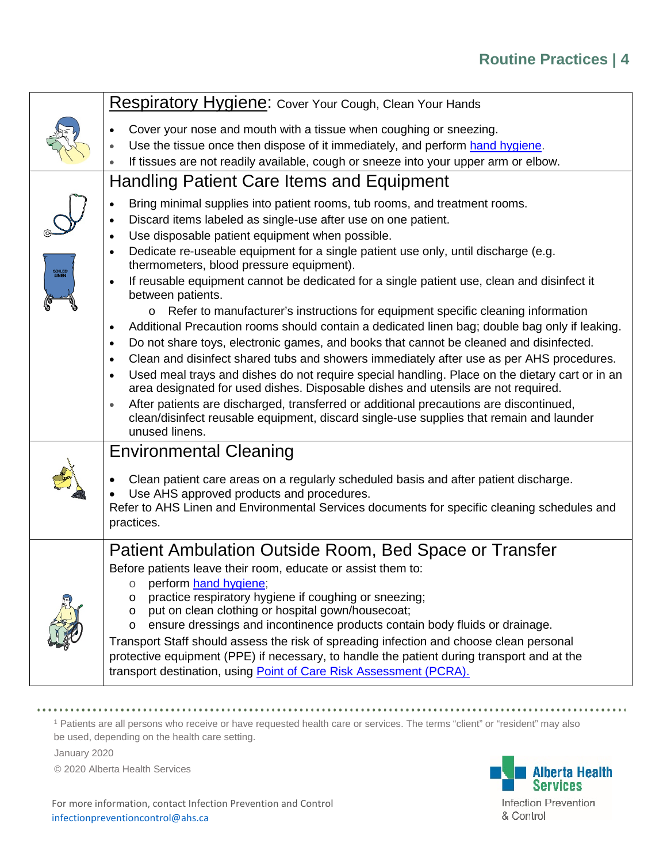|                 | Respiratory Hygiene: Cover Your Cough, Clean Your Hands                                                                                                                                          |  |  |  |
|-----------------|--------------------------------------------------------------------------------------------------------------------------------------------------------------------------------------------------|--|--|--|
|                 | Cover your nose and mouth with a tissue when coughing or sneezing.                                                                                                                               |  |  |  |
|                 | Use the tissue once then dispose of it immediately, and perform hand hygiene.<br>$\bullet$                                                                                                       |  |  |  |
|                 | If tissues are not readily available, cough or sneeze into your upper arm or elbow.<br>$\bullet$                                                                                                 |  |  |  |
|                 | Handling Patient Care Items and Equipment                                                                                                                                                        |  |  |  |
|                 | Bring minimal supplies into patient rooms, tub rooms, and treatment rooms.<br>$\bullet$                                                                                                          |  |  |  |
|                 | Discard items labeled as single-use after use on one patient.<br>$\bullet$                                                                                                                       |  |  |  |
|                 | Use disposable patient equipment when possible.<br>$\bullet$                                                                                                                                     |  |  |  |
| SOILED<br>LINEN | Dedicate re-useable equipment for a single patient use only, until discharge (e.g.<br>$\bullet$<br>thermometers, blood pressure equipment).                                                      |  |  |  |
|                 | If reusable equipment cannot be dedicated for a single patient use, clean and disinfect it<br>between patients.                                                                                  |  |  |  |
|                 | Refer to manufacturer's instructions for equipment specific cleaning information<br>$\circ$                                                                                                      |  |  |  |
|                 | Additional Precaution rooms should contain a dedicated linen bag; double bag only if leaking.<br>$\bullet$                                                                                       |  |  |  |
|                 | Do not share toys, electronic games, and books that cannot be cleaned and disinfected.<br>$\bullet$                                                                                              |  |  |  |
|                 | Clean and disinfect shared tubs and showers immediately after use as per AHS procedures.<br>$\bullet$                                                                                            |  |  |  |
|                 | Used meal trays and dishes do not require special handling. Place on the dietary cart or in an<br>$\bullet$<br>area designated for used dishes. Disposable dishes and utensils are not required. |  |  |  |
|                 | After patients are discharged, transferred or additional precautions are discontinued,<br>$\bullet$                                                                                              |  |  |  |
|                 | clean/disinfect reusable equipment, discard single-use supplies that remain and launder                                                                                                          |  |  |  |
|                 | unused linens.                                                                                                                                                                                   |  |  |  |
|                 | <b>Environmental Cleaning</b>                                                                                                                                                                    |  |  |  |
|                 | Clean patient care areas on a regularly scheduled basis and after patient discharge.                                                                                                             |  |  |  |
|                 | Use AHS approved products and procedures.                                                                                                                                                        |  |  |  |
|                 | Refer to AHS Linen and Environmental Services documents for specific cleaning schedules and                                                                                                      |  |  |  |
|                 | practices.                                                                                                                                                                                       |  |  |  |
|                 | Patient Ambulation Outside Room, Bed Space or Transfer                                                                                                                                           |  |  |  |
|                 | Before patients leave their room, educate or assist them to:                                                                                                                                     |  |  |  |
|                 | perform hand hygiene;<br>О                                                                                                                                                                       |  |  |  |
|                 | practice respiratory hygiene if coughing or sneezing;<br>O                                                                                                                                       |  |  |  |
|                 | put on clean clothing or hospital gown/housecoat;<br>O<br>ensure dressings and incontinence products contain body fluids or drainage.<br>O                                                       |  |  |  |
|                 | Transport Staff should assess the risk of spreading infection and choose clean personal                                                                                                          |  |  |  |
|                 | protective equipment (PPE) if necessary, to handle the patient during transport and at the                                                                                                       |  |  |  |
|                 | transport destination, using Point of Care Risk Assessment (PCRA).                                                                                                                               |  |  |  |
|                 |                                                                                                                                                                                                  |  |  |  |

. . . . . . . . . . . . . . . . . . . . . . . . . . . . . . . <sup>1</sup> Patients are all persons who receive or have requested health care or services. The terms "client" or "resident" may also

be used, depending on the health care setting.

January 2020

© 2020 Alberta Health Services